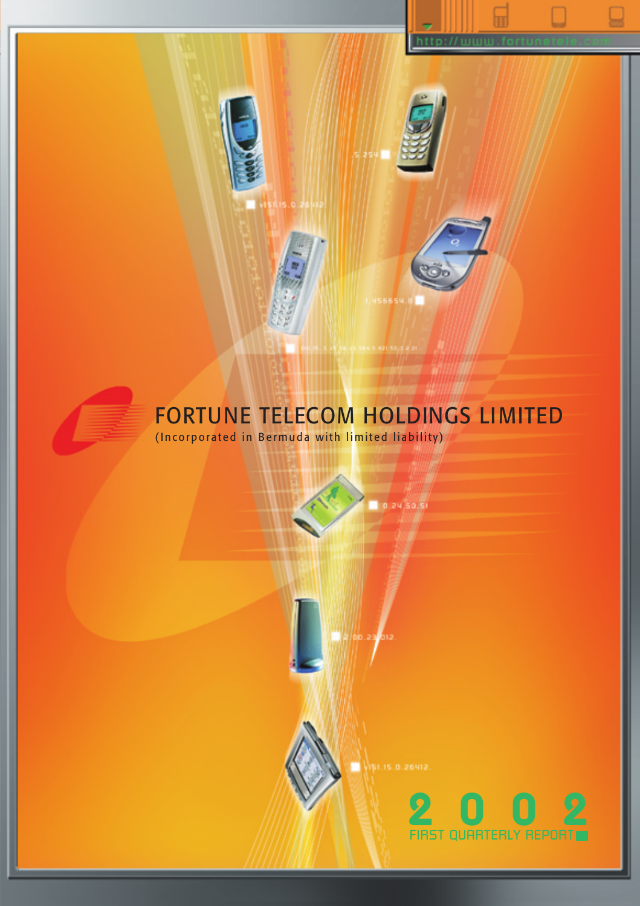



# FORTUNE TELECOM HOLDINGS LIMITED

**GRS** 

0.24.50.51

(Incorporated in Bermuda with limited liability)

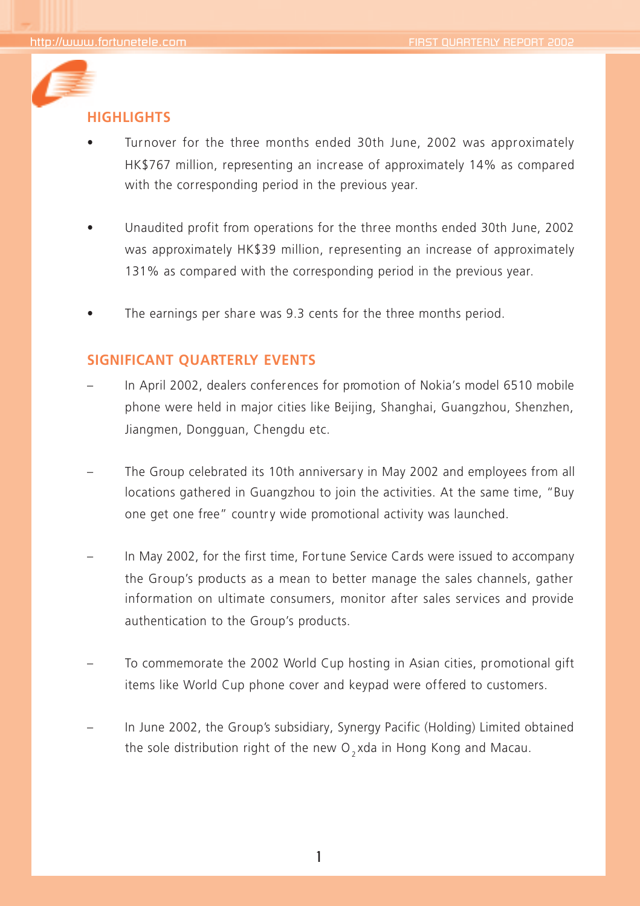

## **HIGHLIGHTS**

- Turnover for the three months ended 30th June, 2002 was approximately HK\$767 million, representing an increase of approximately 14% as compared with the corresponding period in the previous year.
- Unaudited profit from operations for the three months ended 30th June, 2002 was approximately HK\$39 million, representing an increase of approximately 131% as compared with the corresponding period in the previous year.
- The earnings per share was 9.3 cents for the three months period.

## **SIGNIFICANT QUARTERLY EVENTS**

- In April 2002, dealers conferences for promotion of Nokia's model 6510 mobile phone were held in major cities like Beijing, Shanghai, Guangzhou, Shenzhen, Jiangmen, Dongguan, Chengdu etc.
- The Group celebrated its 10th anniversary in May 2002 and employees from all locations gathered in Guangzhou to join the activities. At the same time, "Buy one get one free" country wide promotional activity was launched.
- In May 2002, for the first time, Fortune Service Cards were issued to accompany the Group's products as a mean to better manage the sales channels, gather information on ultimate consumers, monitor after sales services and provide authentication to the Group's products.
- To commemorate the 2002 World Cup hosting in Asian cities, promotional gift items like World Cup phone cover and keypad were offered to customers.
- In June 2002, the Group's subsidiary, Synergy Pacific (Holding) Limited obtained the sole distribution right of the new  $O_3$ xda in Hong Kong and Macau.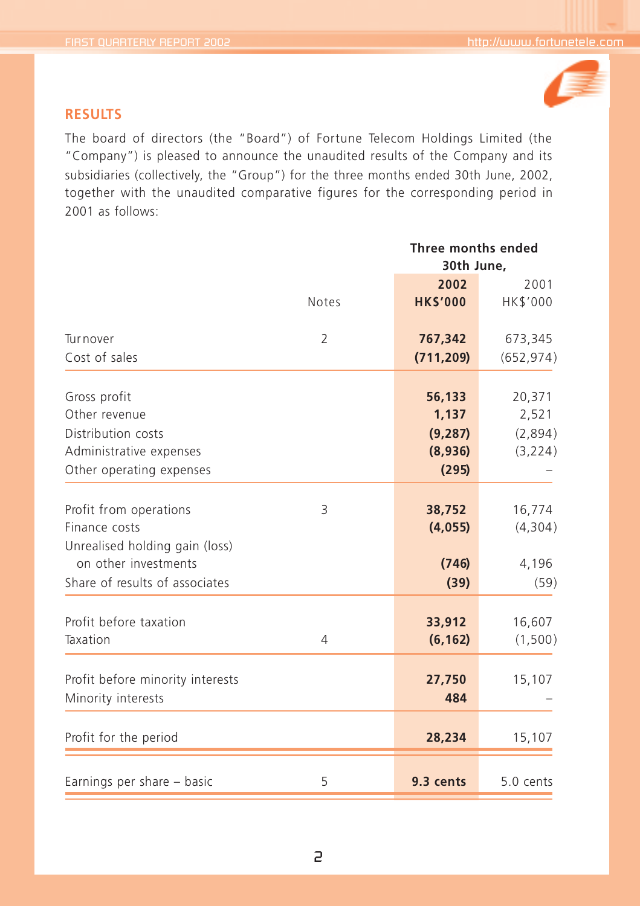

## **RESULTS**

The board of directors (the "Board") of Fortune Telecom Holdings Limited (the "Company") is pleased to announce the unaudited results of the Company and its subsidiaries (collectively, the "Group") for the three months ended 30th June, 2002, together with the unaudited comparative figures for the corresponding period in 2001 as follows:

|                                  |                |                 | Three months ended<br>30th June, |  |
|----------------------------------|----------------|-----------------|----------------------------------|--|
|                                  |                |                 |                                  |  |
|                                  |                | 2002            | 2001                             |  |
|                                  | <b>Notes</b>   | <b>HK\$'000</b> | HK\$'000                         |  |
| Turnover                         | 2              | 767,342         | 673,345                          |  |
| Cost of sales                    |                | (711, 209)      | (652, 974)                       |  |
| Gross profit                     |                | 56,133          | 20,371                           |  |
| Other revenue                    |                | 1,137           | 2,521                            |  |
| Distribution costs               |                | (9, 287)        | (2,894)                          |  |
| Administrative expenses          |                | (8,936)         | (3, 224)                         |  |
| Other operating expenses         |                | (295)           |                                  |  |
| Profit from operations           | 3              | 38,752          | 16,774                           |  |
| Finance costs                    |                | (4, 055)        | (4,304)                          |  |
| Unrealised holding gain (loss)   |                |                 |                                  |  |
| on other investments             |                | (746)           | 4,196                            |  |
| Share of results of associates   |                | (39)            | (59)                             |  |
|                                  |                |                 |                                  |  |
| Profit before taxation           |                | 33,912          | 16,607                           |  |
| Taxation                         | $\overline{4}$ | (6, 162)        | (1,500)                          |  |
| Profit before minority interests |                | 27,750          | 15,107                           |  |
| Minority interests               |                | 484             |                                  |  |
|                                  |                |                 |                                  |  |
| Profit for the period            |                | 28,234          | 15,107                           |  |
|                                  |                |                 |                                  |  |
| Earnings per share - basic       | 5              | 9.3 cents       | 5.0 cents                        |  |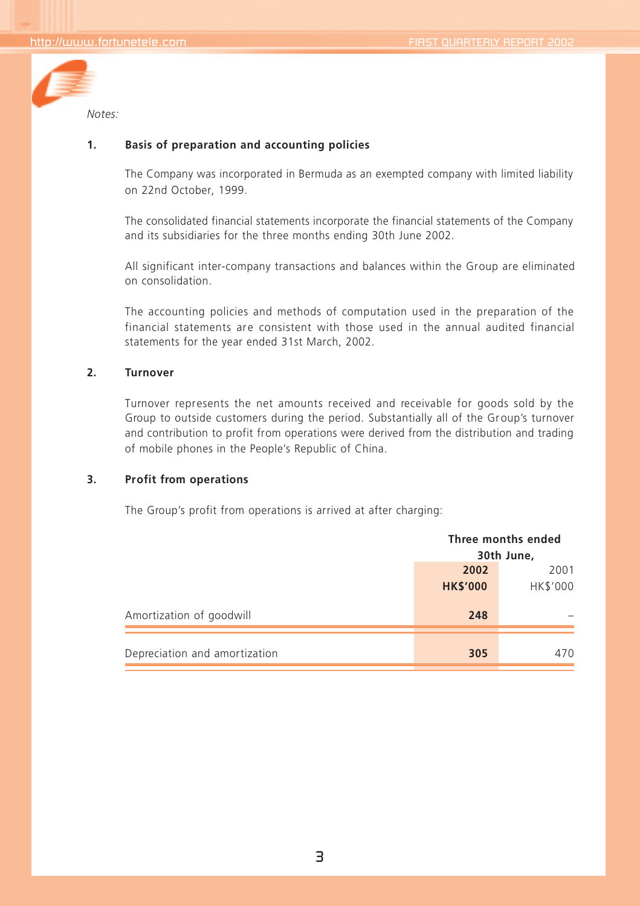

#### **1. Basis of preparation and accounting policies**

The Company was incorporated in Bermuda as an exempted company with limited liability on 22nd October, 1999.

The consolidated financial statements incorporate the financial statements of the Company and its subsidiaries for the three months ending 30th June 2002.

All significant inter-company transactions and balances within the Group are eliminated on consolidation.

The accounting policies and methods of computation used in the preparation of the financial statements are consistent with those used in the annual audited financial statements for the year ended 31st March, 2002.

#### **2. Turnover**

Turnover represents the net amounts received and receivable for goods sold by the Group to outside customers during the period. Substantially all of the Group's turnover and contribution to profit from operations were derived from the distribution and trading of mobile phones in the People's Republic of China.

#### **3. Profit from operations**

The Group's profit from operations is arrived at after charging:

|                               | Three months ended<br>30th June, |                  |
|-------------------------------|----------------------------------|------------------|
|                               | 2002<br><b>HK\$'000</b>          | 2001<br>HK\$'000 |
| Amortization of goodwill      | 248                              |                  |
| Depreciation and amortization | 305                              | 470              |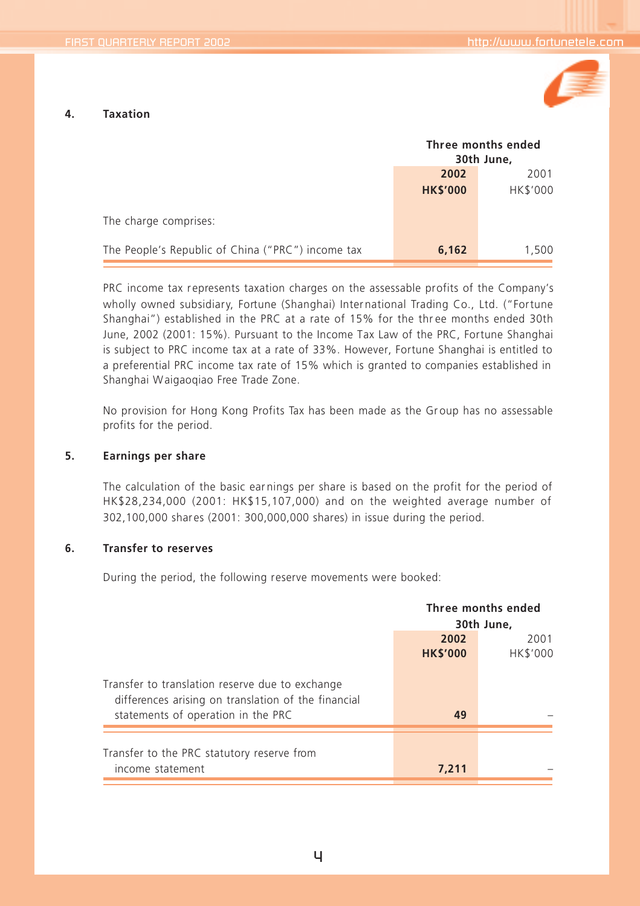

#### **4. Taxation**

|                                                   | Three months ended<br>30th June, |          |
|---------------------------------------------------|----------------------------------|----------|
|                                                   | 2002<br>2001                     |          |
|                                                   | <b>HK\$'000</b>                  | HK\$'000 |
| The charge comprises:                             |                                  |          |
| The People's Republic of China ("PRC") income tax | 6,162                            | 1,500    |

PRC income tax represents taxation charges on the assessable profits of the Company's wholly owned subsidiary, Fortune (Shanghai) Inter national Trading Co., Ltd. ("Fortune Shanghai") established in the PRC at a rate of 15% for the thr ee months ended 30th June, 2002 (2001: 15%). Pursuant to the Income Tax Law of the PRC, Fortune Shanghai is subject to PRC income tax at a rate of 33%. However, Fortune Shanghai is entitled to a preferential PRC income tax rate of 15% which is granted to companies established in Shanghai Waigaoqiao Free Trade Zone.

No provision for Hong Kong Profits Tax has been made as the Group has no assessable profits for the period.

#### **5. Earnings per share**

The calculation of the basic ear nings per share is based on the profit for the period of HK\$28,234,000 (2001: HK\$15,107,000) and on the weighted average number of 302,100,000 shares (2001: 300,000,000 shares) in issue during the period.

#### **6. Transfer to reserves**

During the period, the following reserve movements were booked:

|                                                                                                                                              | Three months ended<br>30th June, |                  |
|----------------------------------------------------------------------------------------------------------------------------------------------|----------------------------------|------------------|
|                                                                                                                                              | 2002<br><b>HK\$'000</b>          | 2001<br>HK\$'000 |
| Transfer to translation reserve due to exchange<br>differences arising on translation of the financial<br>statements of operation in the PRC | 49                               |                  |
| Transfer to the PRC statutory reserve from<br>income statement                                                                               | 7.211                            |                  |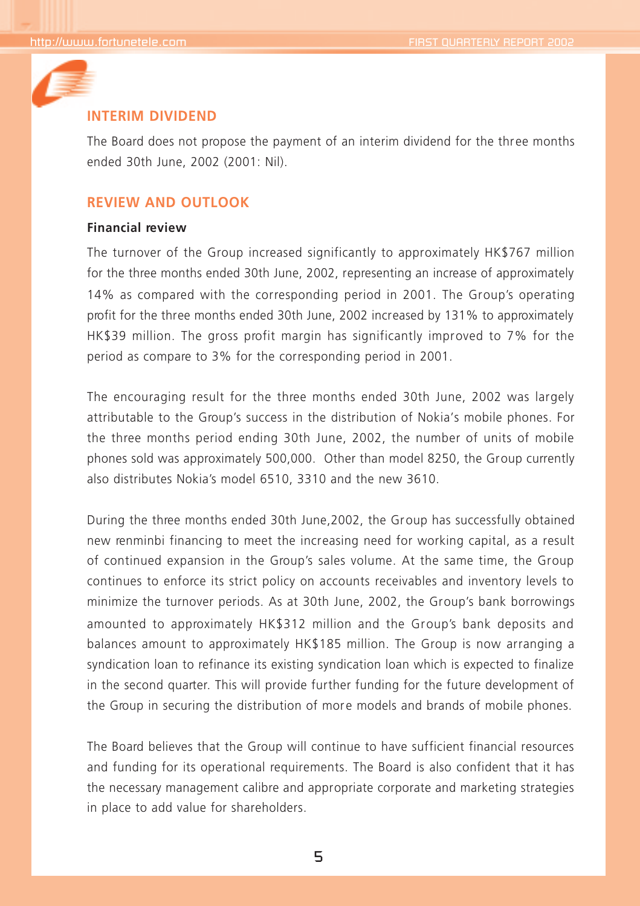

## **INTERIM DIVIDEND**

The Board does not propose the payment of an interim dividend for the three months ended 30th June, 2002 (2001: Nil).

## **REVIEW AND OUTLOOK**

## **Financial review**

The turnover of the Group increased significantly to approximately HK\$767 million for the three months ended 30th June, 2002, representing an increase of approximately 14% as compared with the corresponding period in 2001. The Group's operating profit for the three months ended 30th June, 2002 increased by 131% to approximately HK\$39 million. The gross profit margin has significantly improved to 7% for the period as compare to 3% for the corresponding period in 2001.

The encouraging result for the three months ended 30th June, 2002 was largely attributable to the Group's success in the distribution of Nokia's mobile phones. For the three months period ending 30th June, 2002, the number of units of mobile phones sold was approximately 500,000. Other than model 8250, the Group currently also distributes Nokia's model 6510, 3310 and the new 3610.

During the three months ended 30th June, 2002, the Group has successfully obtained new renminbi financing to meet the increasing need for working capital, as a result of continued expansion in the Group's sales volume. At the same time, the Group continues to enforce its strict policy on accounts receivables and inventory levels to minimize the turnover periods. As at 30th June, 2002, the Group's bank borrowings amounted to approximately HK\$312 million and the Group's bank deposits and balances amount to approximately HK\$185 million. The Group is now arranging a syndication loan to refinance its existing syndication loan which is expected to finalize in the second quarter. This will provide further funding for the future development of the Group in securing the distribution of more models and brands of mobile phones.

The Board believes that the Group will continue to have sufficient financial resources and funding for its operational requirements. The Board is also confident that it has the necessary management calibre and appropriate corporate and marketing strategies in place to add value for shareholders.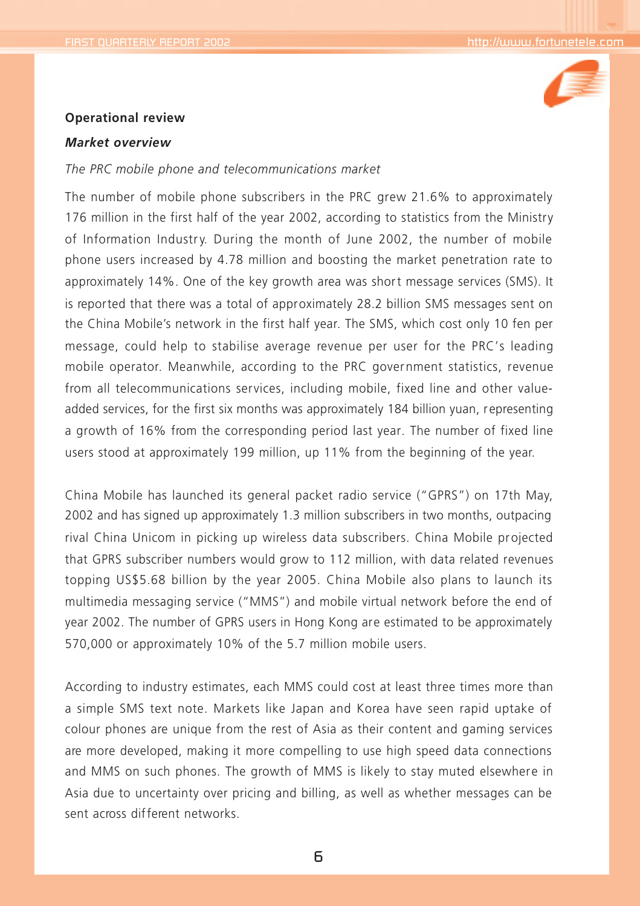

#### **Operational review**

#### *Market overview*

#### *The PRC mobile phone and telecommunications market*

The number of mobile phone subscribers in the PRC grew 21.6% to approximately 176 million in the first half of the year 2002, according to statistics from the Ministry of Information Industry. During the month of June 2002, the number of mobile phone users increased by 4.78 million and boosting the market penetration rate to approximately 14%. One of the key growth area was short message services (SMS). It is reported that there was a total of approximately 28.2 billion SMS messages sent on the China Mobile's network in the first half year. The SMS, which cost only 10 fen per message, could help to stabilise average revenue per user for the PRC's leading mobile operator. Meanwhile, according to the PRC government statistics, revenue from all telecommunications services, including mobile, fixed line and other valueadded services, for the first six months was approximately 184 billion yuan, representing a growth of 16% from the corresponding period last year. The number of fixed line users stood at approximately 199 million, up 11% from the beginning of the year.

China Mobile has launched its general packet radio service ("GPRS") on 17th May, 2002 and has signed up approximately 1.3 million subscribers in two months, outpacing rival China Unicom in picking up wireless data subscribers. China Mobile projected that GPRS subscriber numbers would grow to 112 million, with data related revenues topping US\$5.68 billion by the year 2005. China Mobile also plans to launch its multimedia messaging service ("MMS") and mobile virtual network before the end of year 2002. The number of GPRS users in Hong Kong are estimated to be approximately 570,000 or approximately 10% of the 5.7 million mobile users.

According to industry estimates, each MMS could cost at least three times more than a simple SMS text note. Markets like Japan and Korea have seen rapid uptake of colour phones are unique from the rest of Asia as their content and gaming services are more developed, making it more compelling to use high speed data connections and MMS on such phones. The growth of MMS is likely to stay muted elsewhere in Asia due to uncertainty over pricing and billing, as well as whether messages can be sent across different networks.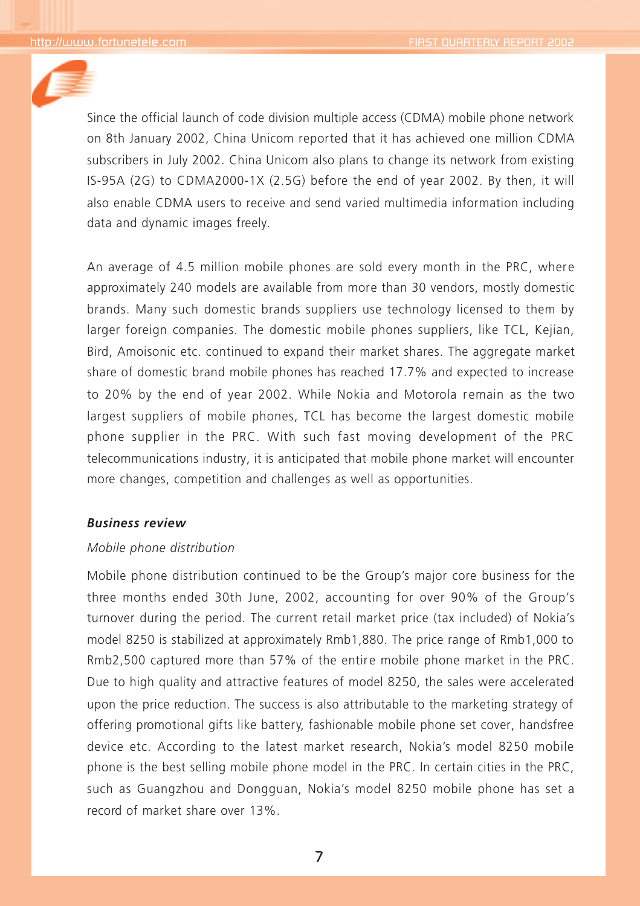

Since the official launch of code division multiple access (CDMA) mobile phone network on 8th January 2002, China Unicom reported that it has achieved one million CDMA subscribers in July 2002. China Unicom also plans to change its network from existing IS-95A (2G) to CDMA2000-1X (2.5G) before the end of year 2002. By then, it will also enable CDMA users to receive and send varied multimedia information including data and dynamic images freely.

An average of 4.5 million mobile phones are sold every month in the PRC, where approximately 240 models are available from more than 30 vendors, mostly domestic brands. Many such domestic brands suppliers use technology licensed to them by larger foreign companies. The domestic mobile phones suppliers, like TCL, Kejian, Bird, Amoisonic etc. continued to expand their market shares. The aggregate market share of domestic brand mobile phones has reached 17.7% and expected to increase to 20% by the end of year 2002. While Nokia and Motorola remain as the two largest suppliers of mobile phones, TCL has become the largest domestic mobile phone supplier in the PRC. With such fast moving development of the PRC telecommunications industry, it is anticipated that mobile phone market will encounter more changes, competition and challenges as well as opportunities.

## *Business review*

### *Mobile phone distribution*

Mobile phone distribution continued to be the Group's major core business for the three months ended 30th June, 2002, accounting for over 90% of the Group's turnover during the period. The current retail market price (tax included) of Nokia's model 8250 is stabilized at approximately Rmb1,880. The price range of Rmb1,000 to Rmb2,500 captured more than 57% of the entire mobile phone market in the PRC. Due to high quality and attractive features of model 8250, the sales were accelerated upon the price reduction. The success is also attributable to the marketing strategy of offering promotional gifts like battery, fashionable mobile phone set cover, handsfree device etc. According to the latest market research, Nokia's model 8250 mobile phone is the best selling mobile phone model in the PRC. In certain cities in the PRC, such as Guangzhou and Dongguan, Nokia's model 8250 mobile phone has set a record of market share over 13%.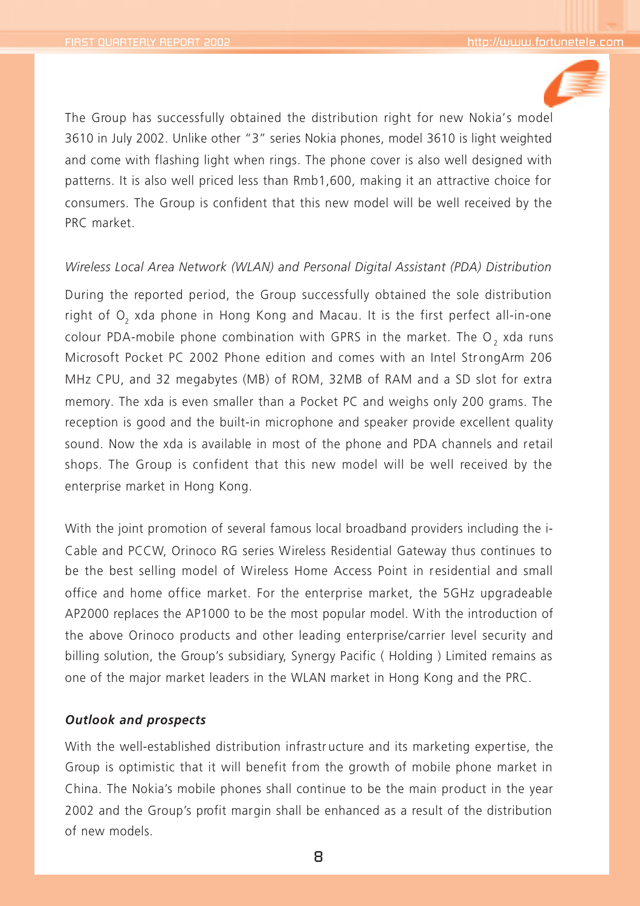

The Group has successfully obtained the distribution right for new Nokia's model 3610 in July 2002. Unlike other "3" series Nokia phones, model 3610 is light weighted and come with flashing light when rings. The phone cover is also well designed with patterns. It is also well priced less than Rmb1,600, making it an attractive choice for consumers. The Group is confident that this new model will be well received by the PRC market.

#### *Wireless Local Area Network (WLAN) and Personal Digital Assistant (PDA) Distribution*

During the reported period, the Group successfully obtained the sole distribution right of O<sub>2</sub> xda phone in Hong Kong and Macau. It is the first perfect all-in-one colour PDA-mobile phone combination with GPRS in the market. The O<sub>2</sub> xda runs Microsoft Pocket PC 2002 Phone edition and comes with an Intel StrongArm 206 MHz CPU, and 32 megabytes (MB) of ROM, 32MB of RAM and a SD slot for extra memory. The xda is even smaller than a Pocket PC and weighs only 200 grams. The reception is good and the built-in microphone and speaker provide excellent quality sound. Now the xda is available in most of the phone and PDA channels and retail shops. The Group is confident that this new model will be well received by the enterprise market in Hong Kong.

With the joint promotion of several famous local broadband providers including the i-Cable and PCCW, Orinoco RG series Wireless Residential Gateway thus continues to be the best selling model of Wireless Home Access Point in residential and small office and home office market. For the enterprise market, the 5GHz upgradeable AP2000 replaces the AP1000 to be the most popular model. With the introduction of the above Orinoco products and other leading enterprise/carrier level security and billing solution, the Group's subsidiary, Synergy Pacific ( Holding ) Limited remains as one of the major market leaders in the WLAN market in Hong Kong and the PRC.

## *Outlook and prospects*

With the well-established distribution infrastr ucture and its marketing expertise, the Group is optimistic that it will benefit from the growth of mobile phone market in China. The Nokia's mobile phones shall continue to be the main product in the year 2002 and the Group's profit margin shall be enhanced as a result of the distribution of new models.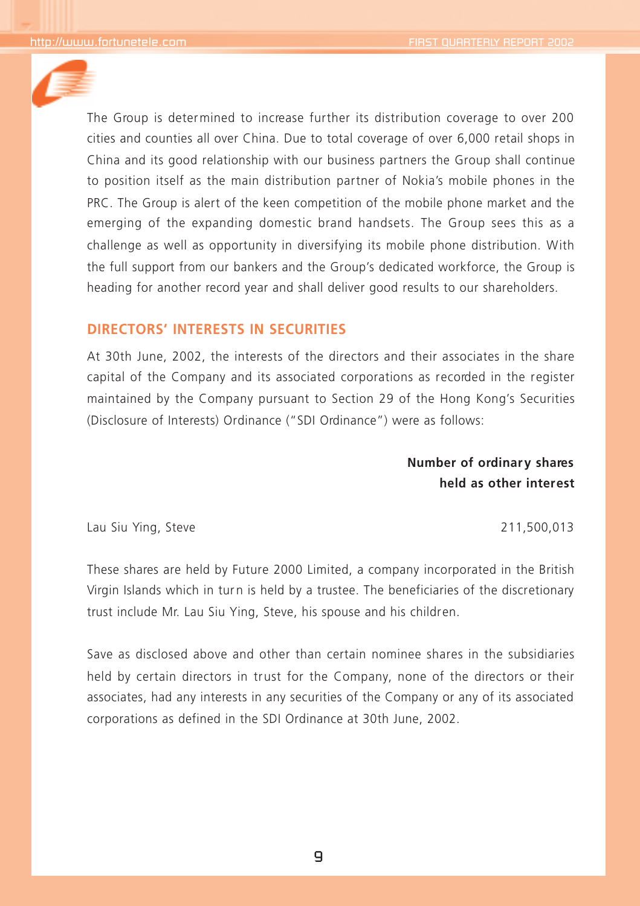

The Group is determined to increase further its distribution coverage to over 200 cities and counties all over China. Due to total coverage of over 6,000 retail shops in China and its good relationship with our business partners the Group shall continue to position itself as the main distribution partner of Nokia's mobile phones in the PRC. The Group is alert of the keen competition of the mobile phone market and the emerging of the expanding domestic brand handsets. The Group sees this as a challenge as well as opportunity in diversifying its mobile phone distribution. With the full support from our bankers and the Group's dedicated workforce, the Group is heading for another record year and shall deliver good results to our shareholders.

## **DIRECTORS' INTERESTS IN SECURITIES**

At 30th June, 2002, the interests of the directors and their associates in the share capital of the Company and its associated corporations as recorded in the register maintained by the Company pursuant to Section 29 of the Hong Kong's Securities (Disclosure of Interests) Ordinance ("SDI Ordinance") were as follows:

> **Number of ordinar y shares held as other interest**

Lau Siu Ying, Steve 211,500,013

These shares are held by Future 2000 Limited, a company incorporated in the British Virgin Islands which in turn is held by a trustee. The beneficiaries of the discretionary trust include Mr. Lau Siu Ying, Steve, his spouse and his children.

Save as disclosed above and other than certain nominee shares in the subsidiaries held by certain directors in trust for the Company, none of the directors or their associates, had any interests in any securities of the Company or any of its associated corporations as defined in the SDI Ordinance at 30th June, 2002.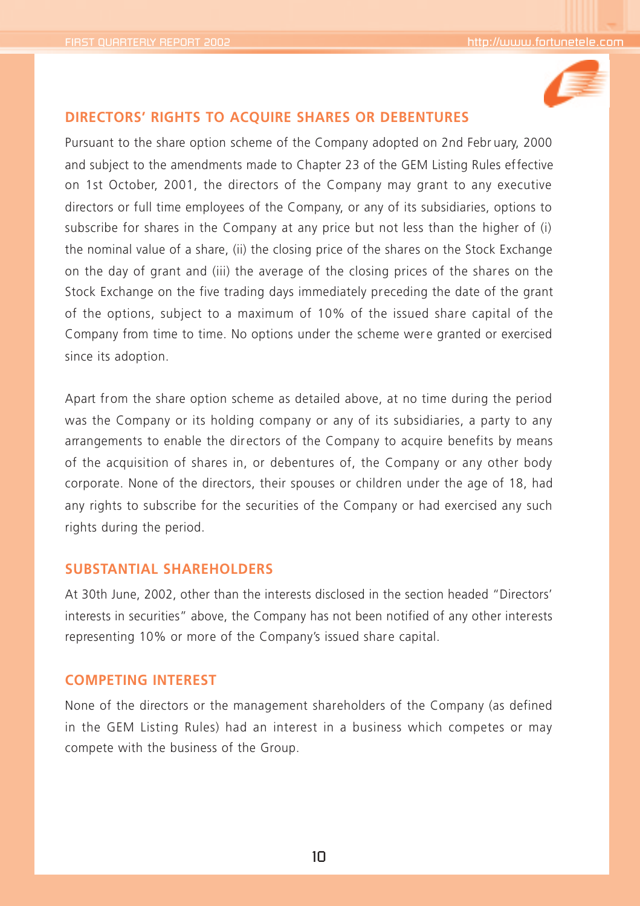

## **DIRECTORS' RIGHTS TO ACQUIRE SHARES OR DEBENTURES**

Pursuant to the share option scheme of the Company adopted on 2nd Febr uary, 2000 and subject to the amendments made to Chapter 23 of the GEM Listing Rules effective on 1st October, 2001, the directors of the Company may grant to any executive directors or full time employees of the Company, or any of its subsidiaries, options to subscribe for shares in the Company at any price but not less than the higher of (i) the nominal value of a share, (ii) the closing price of the shares on the Stock Exchange on the day of grant and (iii) the average of the closing prices of the shares on the Stock Exchange on the five trading days immediately preceding the date of the grant of the options, subject to a maximum of 10% of the issued share capital of the Company from time to time. No options under the scheme were granted or exercised since its adoption.

Apart from the share option scheme as detailed above, at no time during the period was the Company or its holding company or any of its subsidiaries, a party to any arrangements to enable the dir ectors of the Company to acquire benefits by means of the acquisition of shares in, or debentures of, the Company or any other body corporate. None of the directors, their spouses or children under the age of 18, had any rights to subscribe for the securities of the Company or had exercised any such rights during the period.

## **SUBSTANTIAL SHAREHOLDERS**

At 30th June, 2002, other than the interests disclosed in the section headed "Directors' interests in securities" above, the Company has not been notified of any other interests representing 10% or more of the Company's issued share capital.

## **COMPETING INTEREST**

None of the directors or the management shareholders of the Company (as defined in the GEM Listing Rules) had an interest in a business which competes or may compete with the business of the Group.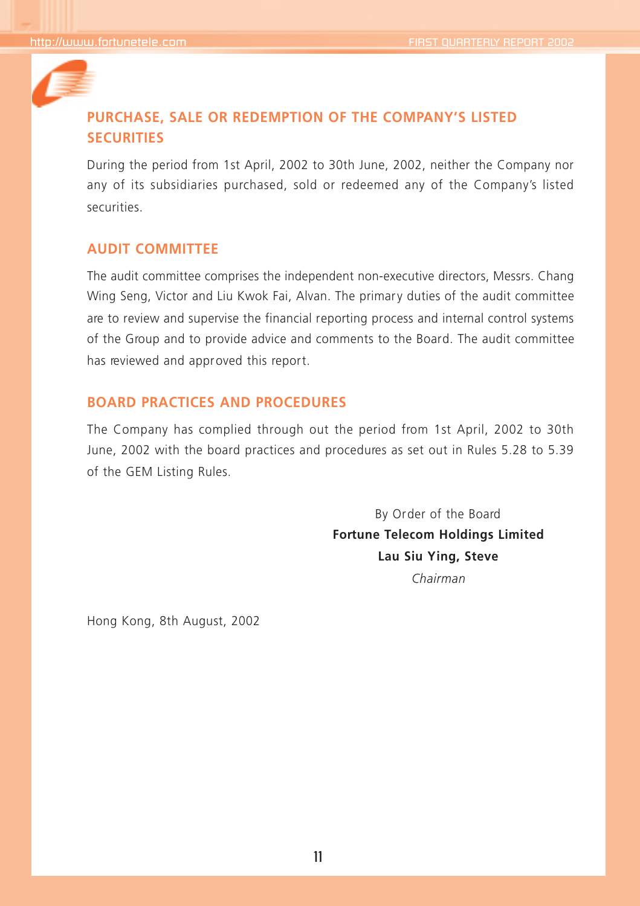

## **PURCHASE, SALE OR REDEMPTION OF THE COMPANY'S LISTED SECURITIES**

During the period from 1st April, 2002 to 30th June, 2002, neither the Company nor any of its subsidiaries purchased, sold or redeemed any of the Company's listed securities.

## **AUDIT COMMITTEE**

The audit committee comprises the independent non-executive directors, Messrs. Chang Wing Seng, Victor and Liu Kwok Fai, Alvan. The primary duties of the audit committee are to review and supervise the financial reporting process and internal control systems of the Group and to provide advice and comments to the Board. The audit committee has reviewed and approved this report.

## **BOARD PRACTICES AND PROCEDURES**

The Company has complied through out the period from 1st April, 2002 to 30th June, 2002 with the board practices and procedures as set out in Rules 5.28 to 5.39 of the GEM Listing Rules.

> By Order of the Board **Fortune Telecom Holdings Limited Lau Siu Ying, Steve** *Chairman*

Hong Kong, 8th August, 2002